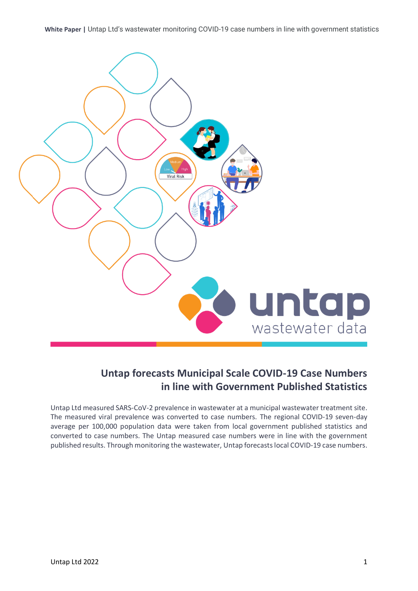

# **Untap forecasts Municipal Scale COVID-19 Case Numbers in line with Government Published Statistics**

Untap Ltd measured SARS-CoV-2 prevalence in wastewater at a municipal wastewater treatment site. The measured viral prevalence was converted to case numbers. The regional COVID-19 seven-day average per 100,000 population data were taken from local government published statistics and converted to case numbers. The Untap measured case numbers were in line with the government published results. Through monitoring the wastewater, Untap forecastslocal COVID-19 case numbers.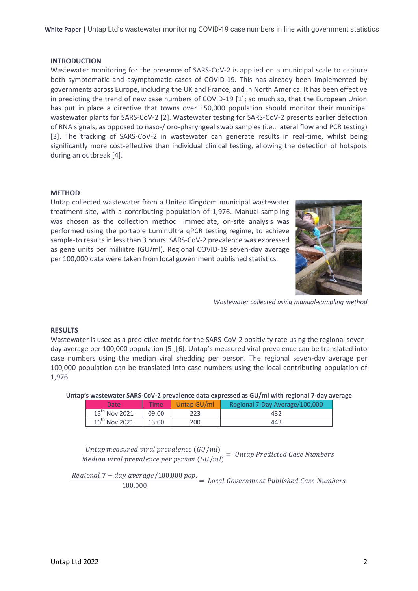**White Paper |** Untap Ltd's wastewater monitoring COVID-19 case numbers in line with government statistics

## **INTRODUCTION**

Wastewater monitoring for the presence of SARS-CoV-2 is applied on a municipal scale to capture both symptomatic and asymptomatic cases of COVID-19. This has already been implemented by governments across Europe, including the UK and France, and in North America. It has been effective in predicting the trend of new case numbers of COVID-19 [1]; so much so, that the European Union has put in place a directive that towns over 150,000 population should monitor their municipal wastewater plants for SARS-CoV-2 [2]. Wastewater testing for SARS-CoV-2 presents earlier detection of RNA signals, as opposed to naso-/ oro-pharyngeal swab samples (i.e., lateral flow and PCR testing) [3]. The tracking of SARS-CoV-2 in wastewater can generate results in real-time, whilst being significantly more cost-effective than individual clinical testing, allowing the detection of hotspots during an outbreak [4].

### **METHOD**

Untap collected wastewater from a United Kingdom municipal wastewater treatment site, with a contributing population of 1,976. Manual-sampling was chosen as the collection method. Immediate, on-site analysis was performed using the portable LuminUltra qPCR testing regime, to achieve sample-to results in less than 3 hours. SARS-CoV-2 prevalence was expressed as gene units per millilitre (GU/ml). Regional COVID-19 seven-day average per 100,000 data were taken from local government published statistics.



*Wastewater collected using manual-sampling method*

### **RESULTS**

Wastewater is used as a predictive metric for the SARS-CoV-2 positivity rate using the regional sevenday average per 100,000 population [5],[6]. Untap's measured viral prevalence can be translated into case numbers using the median viral shedding per person. The regional seven-day average per 100,000 population can be translated into case numbers using the local contributing population of 1,976.

#### **Untap's wastewater SARS-CoV-2 prevalence data expressed as GU/ml with regional 7-day average**

| Date                      | Time  | Untap GU/ml | Regional 7-Day Average/100,000 |
|---------------------------|-------|-------------|--------------------------------|
| 15 <sup>th</sup> Nov 2021 | 09:00 | 223         | 432                            |
| $16^{th}$ Nov 2021        | 13:00 | 200         | 443                            |

Untap measured viral prevalence  $(GU/ml)$  $\frac{1}{\sqrt{1-\frac{1}{2}}\left(\frac{1}{2}-\frac{1}{2}\right)}$  = Untap Predicted Case Numbers

 $\frac{Regional~7-day~average/100,000~pop.}{100,000}$  = Local Government Published Case Numbers